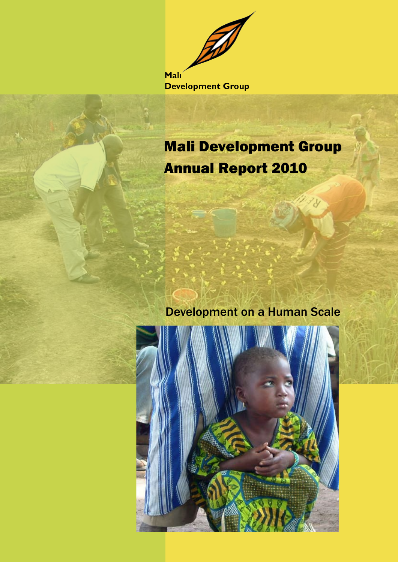Malı **Development Group** 

# Mali Development Group Annual Report 2010

Development on a Human Scale

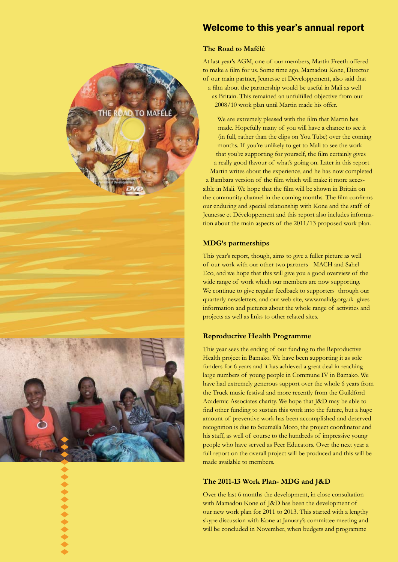

### Welcome to this year's annual report

#### **The Road to Mafélé**

At last year's AGM, one of our members, Martin Freeth offered to make a film for us. Some time ago, Mamadou Kone, Director of our main partner, Jeunesse et Développement, also said that a film about the partnership would be useful in Mali as well as Britain. This remained an unfulfilled objective from our 2008/10 work plan until Martin made his offer.

We are extremely pleased with the film that Martin has made. Hopefully many of you will have a chance to see it (in full, rather than the clips on You Tube) over the coming months. If you're unlikely to get to Mali to see the work that you're supporting for yourself, the film certainly gives a really good flavour of what's going on. Later in this report Martin writes about the experience, and he has now completed a Bambara version of the film which will make it more acces sible in Mali. We hope that the film will be shown in Britain on the community channel in the coming months. The film confirms our enduring and special relationship with Kone and the staff of Jeunesse et Développement and this report also includes informa tion about the main aspects of the 2011/13 proposed work plan.

#### **MDG's partnerships**

This year's report, though, aims to give a fuller picture as well of our work with our other two partners - MACH and Sahel Eco, and we hope that this will give you a good overview of the wide range of work which our members are now supporting. We continue to give regular feedback to supporters through our quarterly newsletters, and our web site, www.malidg.org.uk gives information and pictures about the whole range of activities and projects as well as links to other related sites.

#### **Reproductive Health Programme**

This year sees the ending of our funding to the Reproductive Health project in Bamako. We have been supporting it as sole funders for 6 years and it has achieved a great deal in reaching large numbers of young people in Commune IV in Bamako. We have had extremely generous support over the whole 6 years from the Truck music festival and more recently from the Guildford Academic Associates charity. We hope that J&D may be able to find other funding to sustain this work into the future, but a huge amount of preventive work has been accomplished and deserved recognition is due to Soumaïla Moro, the project coordinator and his staff, as well of course to the hundreds of impressive young people who have served as Peer Educators. Over the next year a full report on the overall project will be produced and this will be made available to members.

#### **The 2011-13 Work Plan- MDG and J&D**

Over the last 6 months the development, in close consultation with Mamadou Kone of J&D has been the development of our new work plan for 2011 to 2013. This started with a lengthy skype discussion with Kone at January's committee meeting and will be concluded in November, when budgets and programme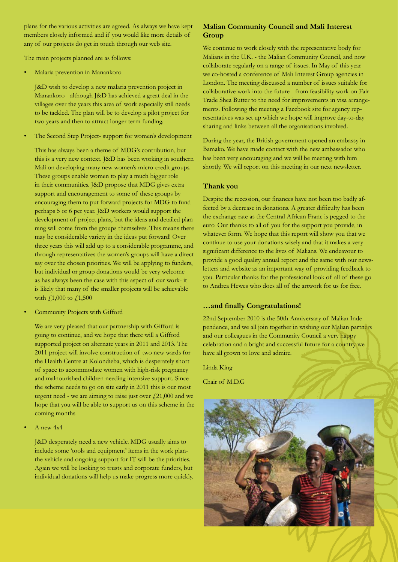plans for the various activities are agreed. As always we have kept members closely informed and if you would like more details of any of our projects do get in touch through our web site.

The main projects planned are as follows:

• Malaria prevention in Manankoro

J&D wish to develop a new malaria prevention project in Manankoro - although J&D has achieved a great deal in the villages over the years this area of work especially still needs to be tackled. The plan will be to develop a pilot project for two years and then to attract longer term funding.

The Second Step Project- support for women's development

This has always been a theme of MDG's contribution, but this is a very new context. J&D has been working in southern Mali on developing many new women's micro-credit groups. These groups enable women to play a much bigger role in their communities. J&D propose that MDG gives extra support and encouragement to some of these groups by encouraging them to put forward projects for MDG to fundperhaps 5 or 6 per year. J&D workers would support the development of project plans, but the ideas and detailed planning will come from the groups themselves. This means there may be considerable variety in the ideas put forward! Over three years this will add up to a considerable programme, and through representatives the women's groups will have a direct say over the chosen priorities. We will be applying to funders, but individual or group donations would be very welcome as has always been the case with this aspect of our work- it is likely that many of the smaller projects will be achievable with £1,000 to £1,500

Community Projects with Gifford

We are very pleased that our partnership with Gifford is going to continue, and we hope that there will a Gifford supported project on alternate years in 2011 and 2013. The 2011 project will involve construction of two new wards for the Health Centre at Kolondieba, which is desperately short of space to accommodate women with high-risk pregnancy and malnourished children needing intensive support. Since the scheme needs to go on site early in 2011 this is our most urgent need - we are aiming to raise just over  $\text{\emph{f}}21,000$  and we hope that you will be able to support us on this scheme in the coming months

• A new 4x4

J&D desperately need a new vehicle. MDG usually aims to include some 'tools and equipment' items in the work planthe vehicle and ongoing support for IT will be the priorities. Again we will be looking to trusts and corporate funders, but individual donations will help us make progress more quickly.

#### **Malian Community Council and Mali Interest Group**

We continue to work closely with the representative body for Malians in the U.K. - the Malian Community Council, and now collaborate regularly on a range of issues. In May of this year we co-hosted a conference of Mali Interest Group agencies in London. The meeting discussed a number of issues suitable for collaborative work into the future - from feasibility work on Fair Trade Shea Butter to the need for improvements in visa arrangements. Following the meeting a Facebook site for agency representatives was set up which we hope will improve day-to-day sharing and links between all the organisations involved.

During the year, the British government opened an embassy in Bamako. We have made contact with the new ambassador who has been very encouraging and we will be meeting with him shortly. We will report on this meeting in our next newsletter.

#### **Thank you**

Despite the recession, our finances have not been too badly affected by a decrease in donations. A greater difficulty has been the exchange rate as the Central African Franc is pegged to the euro. Our thanks to all of you for the support you provide, in whatever form. We hope that this report will show you that we continue to use your donations wisely and that it makes a very significant difference to the lives of Malians. We endeavour to provide a good quality annual report and the same with our newsletters and website as an important way of providing feedback to you. Particular thanks for the professional look of all of these go to Andrea Hewes who does all of the artwork for us for free.

#### **…and finally Congratulations!**

22nd September 2010 is the 50th Anniversary of Malian Independence, and we all join together in wishing our Malian partners and our colleagues in the Community Council a very happy celebration and a bright and successful future for a country we have all grown to love and admire.

Linda King

Chair of M.D.G

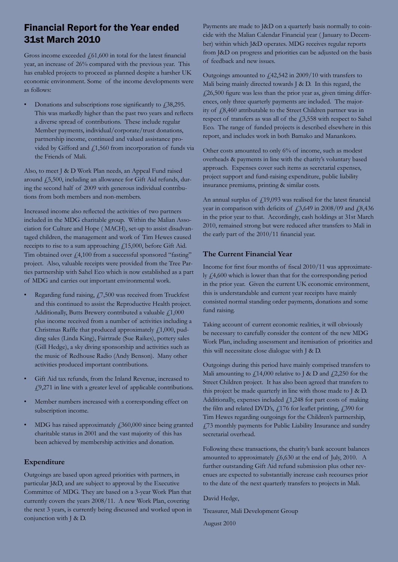## Financial Report for the Year ended 31st March 2010

Gross income exceeded  $f(61,600)$  in total for the latest financial year, an increase of 26% compared with the previous year. This has enabled projects to proceed as planned despite a harsher UK economic environment. Some of the income developments were as follows:

Donations and subscriptions rose significantly to  $\ddot{\text{.}}38,295$ . This was markedly higher than the past two years and reflects a diverse spread of contributions. These include regular Member payments, individual/corporate/trust donations, partnership income, continued and valued assistance provided by Gifford and  $f$ 1,560 from incorporation of funds via the Friends of Mali.

Also, to meet J & D Work Plan needs, an Appeal Fund raised around £5,500, including an allowance for Gift Aid refunds, during the second half of 2009 with generous individual contributions from both members and non-members.

Increased income also reflected the activities of two partners included in the MDG charitable group. Within the Malian Association for Culture and Hope ( MACH), set-up to assist disadvantaged children, the management and work of Tim Hewes caused receipts to rise to a sum approaching £15,000, before Gift Aid. Tim obtained over  $f4,100$  from a successful sponsored "fasting" project. Also, valuable receipts were provided from the Tree Parties partnership with Sahel Eco which is now established as a part of MDG and carries out important environmental work.

- Regarding fund raising, £7,500 was received from Truckfest and this continued to assist the Reproductive Health project. Additionally, Butts Brewery contributed a valuable  $f1,000$ plus income received from a number of activities including a Christmas Raffle that produced approximately  $f<sub>1</sub>$ , 1,000, pudding sales (Linda King), Fairtrade (Sue Raikes), pottery sales (Gill Hedge), a sky diving sponsorship and activities such as the music of Redhouse Radio (Andy Benson). Many other activities produced important contributions.
- Gift Aid tax refunds, from the Inland Revenue, increased to  $\angle$  19,271 in line with a greater level of applicable contributions.
- Member numbers increased with a corresponding effect on subscription income.
- MDG has raised approximately £360,000 since being granted charitable status in 2001 and the vast majority of this has been achieved by membership activities and donation.

#### **Expenditure**

Outgoings are based upon agreed priorities with partners, in particular J&D, and are subject to approval by the Executive Committee of MDG. They are based on a 3-year Work Plan that currently covers the years 2008/11. A new Work Plan, covering the next 3 years, is currently being discussed and worked upon in conjunction with J & D.

Payments are made to J&D on a quarterly basis normally to coincide with the Malian Calendar Financial year ( January to December) within which J&D operates. MDG receives regular reports from J&D on progress and priorities can be adjusted on the basis of feedback and new issues.

Outgoings amounted to £42,542 in 2009/10 with transfers to Mali being mainly directed towards J & D. In this regard, the  $\angle$  (26,500 figure was less than the prior year as, given timing differences, only three quarterly payments are included. The majority of £8,460 attributable to the Street Children partner was in respect of transfers as was all of the £3,558 with respect to Sahel Eco. The range of funded projects is described elsewhere in this report, and includes work in both Bamako and Manankoro.

Other costs amounted to only 6% of income, such as modest overheads & payments in line with the charity's voluntary based approach. Expenses cover such items as secretarial expenses, project support and fund-raising expenditure, public liability insurance premiums, printing & similar costs.

An annual surplus of  $\frac{1}{2}19,093$  was realised for the latest financial year in comparison with deficits of  $\frac{13,649 \text{ in } 2008}{09 \text{ and } 18,436}$ in the prior year to that. Accordingly, cash holdings at 31st March 2010, remained strong but were reduced after transfers to Mali in the early part of the 2010/11 financial year.

#### **The Current Financial Year**

Income for first four months of fiscal 2010/11 was approximately £4,600 which is lower than that for the corresponding period in the prior year. Given the current UK economic environment, this is understandable and current year receipts have mainly consisted normal standing order payments, donations and some fund raising.

Taking account of current economic realities, it will obviously be necessary to carefully consider the content of the new MDG Work Plan, including assessment and itemisation of priorities and this will necessitate close dialogue with J & D.

Outgoings during this period have mainly comprised transfers to Mali amounting to  $f(14,000)$  relative to J & D and  $f(2,250)$  for the Street Children project. It has also been agreed that transfers to this project be made quarterly in line with those made to J & D. Additionally, expenses included  $f<sub>1</sub>1,248$  for part costs of making the film and related DVD's,  $f$  176 for leaflet printing,  $f$  390 for Tim Hewes regarding outgoings for the Children's partnership, £73 monthly payments for Public Liability Insurance and sundry secretarial overhead.

Following these transactions, the charity's bank account balances amounted to approximately  $f(6,630 \text{ at the end of July, } 2010$ . A further outstanding Gift Aid refund submission plus other revenues are expected to substantially increase cash recourses prior to the date of the next quarterly transfers to projects in Mali.

David Hedge,

Treasurer, Mali Development Group

August 2010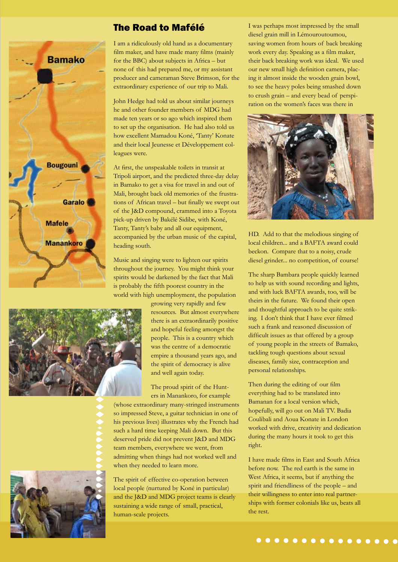

### The Road to Mafélé

I am a ridiculously old hand as a documentary film maker, and have made many films (mainly for the BBC) about subjects in Africa – but none of this had prepared me, or my assistant producer and cameraman Steve Brimson, for the extraordinary experience of our trip to Mali.

John Hedge had told us about similar journeys he and other founder members of MDG had made ten years or so ago which inspired them to set up the organisation. He had also told us how excellent Mamadou Koné, 'Tanty' Konate and their local Jeunesse et Développement colleagues were.

At first, the unspeakable toilets in transit at Tripoli airport, and the predicted three-day delay in Bamako to get a visa for travel in and out of Mali, brought back old memories of the frustrations of African travel – but finally we swept out of the J&D compound, crammed into a Toyota pick-up driven by Bakélé Sidibe, with Koné, Tanty, Tanty's baby and all our equipment, accompanied by the urban music of the capital, heading south.

Music and singing were to lighten our spirits throughout the journey. You might think your spirits would be darkened by the fact that Mali is probably the fifth poorest country in the world with high unemployment, the population

> growing very rapidly and few resources. But almost everywhere there is an extraordinarily positive and hopeful feeling amongst the people. This is a country which was the centre of a democratic empire a thousand years ago, and the spirit of democracy is alive and well again today.

The proud spirit of the Hunters in Manankoro, for example

(whose extraordinary many-stringed instruments so impressed Steve, a guitar technician in one of his previous lives) illustrates why the French had such a hard time keeping Mali down. But this deserved pride did not prevent J&D and MDG team members, everywhere we went, from admitting when things had not worked well and when they needed to learn more.

The spirit of effective co-operation between local people (nurtured by Koné in particular) and the J&D and MDG project teams is clearly sustaining a wide range of small, practical, human-scale projects.

I was perhaps most impressed by the small diesel grain mill in Lémouroutoumou, saving women from hours of back breaking work every day. Speaking as a film maker, their back breaking work was ideal. We used our new small high definition camera, placing it almost inside the wooden grain bowl, to see the heavy poles being smashed down to crush grain – and every bead of perspiration on the women's faces was there in



HD. Add to that the melodious singing of local children... and a BAFTA award could beckon. Compare that to a noisy, crude diesel grinder... no competition, of course!

The sharp Bambara people quickly learned to help us with sound recording and lights, and with luck BAFTA awards, too, will be theirs in the future. We found their open and thoughtful approach to be quite striking. I don't think that I have ever filmed such a frank and reasoned discussion of difficult issues as that offered by a group of young people in the streets of Bamako, tackling tough questions about sexual diseases, family size, contraception and personal relationships.

Then during the editing of our film everything had to be translated into Bamanan for a local version which, hopefully, will go out on Mali TV. Badia Coulibali and Aoua Konate in London worked with drive, creativity and dedication during the many hours it took to get this right.

I have made films in East and South Africa before now. The red earth is the same in West Africa, it seems, but if anything the spirit and friendliness of the people – and their willingness to enter into real partnerships with former colonials like us, beats all the rest.



 $\blacklozenge$ 

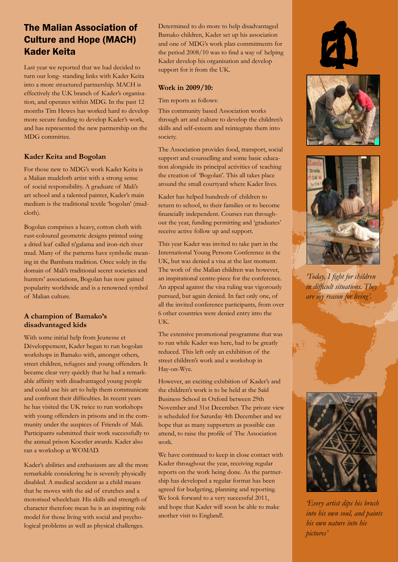## The Malian Association of Culture and Hope (MACH) Kader Keita

Last year we reported that we had decided to turn our long- standing links with Kader Keita into a more structured partnership. MACH is effectively the U.K branch of Kader's organisation, and operates within MDG. In the past 12 months Tim Hewes has worked hard to develop more secure funding to develop Kader's work, and has represented the new partnership on the MDG committee.

#### **Kader Keita and Bogolan**

For those new to MDG's work Kader Keita is a Malian mudcloth artist with a strong sense of social responsibility. A graduate of Mali's art school and a talented painter, Kader's main medium is the traditional textile 'bogolan' (mudcloth).

Bogolan comprises a heavy, cotton cloth with rust-coloured geometric designs printed using a dried leaf called n'galama and iron-rich river mud. Many of the patterns have symbolic meaning in the Bambara tradition. Once solely in the domain of Mali's traditional secret societies and hunters' associations, Bogolan has now gained popularity worldwide and is a renowned symbol of Malian culture.

#### **A champion of Bamako's disadvantaged kids**

With some initial help from Jeunesse et Développement, Kader began to run bogolan workshops in Bamako with, amongst others, street children, refugees and young offenders. It became clear very quickly that he had a remarkable affinity with disadvantaged young people and could use his art to help them communicate and confront their difficulties. In recent years he has visited the UK twice to run workshops with young offenders in prisons and in the community under the auspices of Friends of Mali. Participants submitted their work successfully to the annual prison Koestler awards. Kader also ran a workshop at WOMAD.

Kader's abilities and enthusiasm are all the more remarkable considering he is severely physically disabled. A medical accident as a child means that he moves with the aid of crutches and a motorised wheelchair. His skills and strength of character therefore mean he is an inspiring role model for those living with social and psychological problems as well as physical challenges.

Determined to do more to help disadvantaged Bamako children, Kader set up his association and one of MDG's work plan commitments for the period 2008/10 was to find a way of helping Kader develop his organisation and develop support for it from the UK.

#### **Work in 2009/10:**

Tim reports as follows:

This community based Association works through art and culture to develop the children's skills and self-esteem and reintegrate them into society.

The Association provides food, transport, social support and counselling and some basic education alongside its principal activities of teaching the creation of 'Bogolan'. This all takes place around the small courtyard where Kader lives.

Kader has helped hundreds of children to return to school, to their families or to become financially independent. Courses run throughout the year, funding permitting and 'graduates' receive active follow up and support.

This year Kader was invited to take part in the International Young Persons Conference in the UK, but was denied a visa at the last moment. The work of the Malian children was however, an inspirational centre-piece for the conference. An appeal against the visa ruling was vigorously pursued, but again denied. In fact only one, of all the invited conference participants, from over 6 other countries were denied entry into the UK.

The extensive promotional programme that was to run while Kader was here, had to be greatly reduced. This left only an exhibition of the street children's work and a workshop in Hay-on-Wye.

However, an exciting exhibition of Kader's and the children's work is to be held at the Saïd Business School in Oxford between 29th November and 31st December. The private view is scheduled for Saturday 4th December and we hope that as many supporters as possible can attend, to raise the profile of The Association work.

We have continued to keep in close contact with Kader throughout the year, receiving regular reports on the work being done. As the partnership has developed a regular format has been agreed for budgeting, planning and reporting. We look forward to a very successful 2011, and hope that Kader will soon be able to make another visit to England!.







*'Today, I fight for children in difficult situations. They are my reason for living'.*



*'Every artist dips his brush into his own soul, and paints his own nature into his pictures'*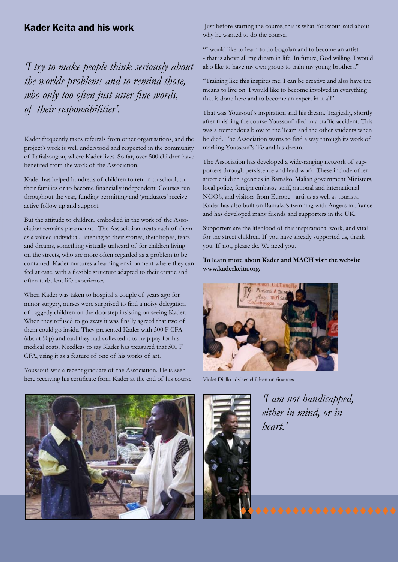### Kader Keita and his work

*'I try to make people think seriously about the worlds problems and to remind those, who only too often just utter fine words, of their responsibilities'.*

Kader frequently takes referrals from other organisations, and the project's work is well understood and respected in the community of Lafiabougou, where Kader lives. So far, over 500 children have benefited from the work of the Association,

Kader has helped hundreds of children to return to school, to their families or to become financially independent. Courses run throughout the year, funding permitting and 'graduates' receive active follow up and support.

But the attitude to children, embodied in the work of the Association remains paramount. The Association treats each of them as a valued individual, listening to their stories, their hopes, fears and dreams, something virtually unheard of for children living on the streets, who are more often regarded as a problem to be contained. Kader nurtures a learning environment where they can feel at ease, with a flexible structure adapted to their erratic and often turbulent life experiences.

When Kader was taken to hospital a couple of years ago for minor surgery, nurses were surprised to find a noisy delegation of raggedy children on the doorstep insisting on seeing Kader. When they refused to go away it was finally agreed that two of them could go inside. They presented Kader with 500 F CFA (about 50p) and said they had collected it to help pay for his medical costs. Needless to say Kader has treasured that 500 F CFA, using it as a feature of one of his works of art.

Youssouf was a recent graduate of the Association. He is seen here receiving his certificate from Kader at the end of his course

 Just before starting the course, this is what Youssouf said about why he wanted to do the course.

"I would like to learn to do bogolan and to become an artist - that is above all my dream in life. In future, God willing, I would also like to have my own group to train my young brothers."

"Training like this inspires me; I can be creative and also have the means to live on. I would like to become involved in everything that is done here and to become an expert in it all".

That was Youssouf 's inspiration and his dream. Tragically, shortly after finishing the course Youssouf died in a traffic accident. This was a tremendous blow to the Team and the other students when he died. The Association wants to find a way through its work of marking Youssouf 's life and his dream.

The Association has developed a wide-ranging network of supporters through persistence and hard work. These include other street children agencies in Bamako, Malian government Ministers, local police, foreign embassy staff, national and international NGO's, and visitors from Europe - artists as well as tourists. Kader has also built on Bamako's twinning with Angers in France and has developed many friends and supporters in the UK.

Supporters are the lifeblood of this inspirational work, and vital for the street children. If you have already supported us, thank you. If not, please do. We need you.

#### **To learn more about Kader and MACH visit the website www.kaderkeita.org.**



Violet Diallo advises children on finances



*'I am not handicapped, either in mind, or in heart.'*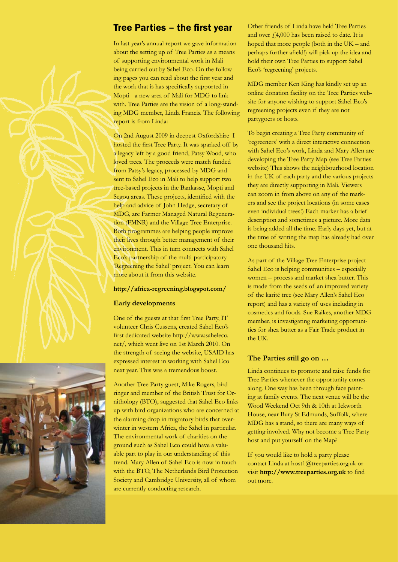### Tree Parties – the first year

In last year's annual report we gave information about the setting up of Tree Parties as a means of supporting environmental work in Mali being carried out by Sahel Eco. On the following pages you can read about the first year and the work that is has specifically supported in Mopti - a new area of Mali for MDG to link with. Tree Parties are the vision of a long-standing MDG member, Linda Francis. The following report is from Linda:

On 2nd August 2009 in deepest Oxfordshire I hosted the first Tree Party. It was sparked off by a legacy left by a good friend, Patsy Wood, who loved trees. The proceeds were match funded from Patsy's legacy, processed by MDG and sent to Sahel Eco in Mali to help support two tree-based projects in the Bankasse, Mopti and Segou areas. These projects, identified with the help and advice of John Hedge, secretary of MDG, are Farmer Managed Natural Regeneration (FMNR) and the Village Tree Enterprise. Both programmes are helping people improve their lives through better management of their environment. This in turn connects with Sahel Eco's partnership of the multi-participatory 'Regreening the Sahel' project. You can learn more about it from this website.

#### **http://africa-regreening.blogspot.com/**

#### **Early developments**

One of the guests at that first Tree Party, IT volunteer Chris Cussens, created Sahel Eco's first dedicated website http://www.saheleco. net/, which went live on 1st March 2010. On the strength of seeing the website, USAID has expressed interest in working with Sahel Eco next year. This was a tremendous boost.

Another Tree Party guest, Mike Rogers, bird ringer and member of the British Trust for Ornithology (BTO), suggested that Sahel Eco links up with bird organizations who are concerned at the alarming drop in migratory birds that overwinter in western Africa, the Sahel in particular. The environmental work of charities on the ground such as Sahel Eco could have a valuable part to play in our understanding of this trend. Mary Allen of Sahel Eco is now in touch with the BTO, The Netherlands Bird Protection Society and Cambridge University, all of whom are currently conducting research.

Other friends of Linda have held Tree Parties and over  $\text{\emph{f}}4,000$  has been raised to date. It is hoped that more people (both in the UK – and perhaps further afield!) will pick up the idea and hold their own Tree Parties to support Sahel Eco's 'regreening' projects.

MDG member Ken King has kindly set up an online donation facility on the Tree Parties website for anyone wishing to support Sahel Eco's regreening projects even if they are not partygoers or hosts.

To begin creating a Tree Party community of 'regreeners' with a direct interactive connection with Sahel Eco's work, Linda and Mary Allen are developing the Tree Party Map (see Tree Parties website) This shows the neighbourhood location in the UK of each party and the various projects they are directly supporting in Mali. Viewers can zoom in from above on any of the markers and see the project locations (in some cases even individual trees!) Each marker has a brief description and sometimes a picture. More data is being added all the time. Early days yet, but at the time of writing the map has already had over one thousand hits.

As part of the Village Tree Enterprise project Sahel Eco is helping communities – especially women – process and market shea butter. This is made from the seeds of an improved variety of the karité tree (see Mary Allen's Sahel Eco report) and has a variety of uses including in cosmetics and foods. Sue Raikes, another MDG member, is investigating marketing opportunities for shea butter as a Fair Trade product in the UK.

#### **The Parties still go on …**

Linda continues to promote and raise funds for Tree Parties whenever the opportunity comes along. One way has been through face painting at family events. The next venue will be the Wood Weekend Oct 9th & 10th at Ickworth House, near Bury St Edmunds, Suffolk, where MDG has a stand, so there are many ways of getting involved. Why not become a Tree Party host and put yourself on the Map?

If you would like to hold a party please contact Linda at host1@treeparties.org.uk or visit **http://www.treeparties.org.uk** to find out more.

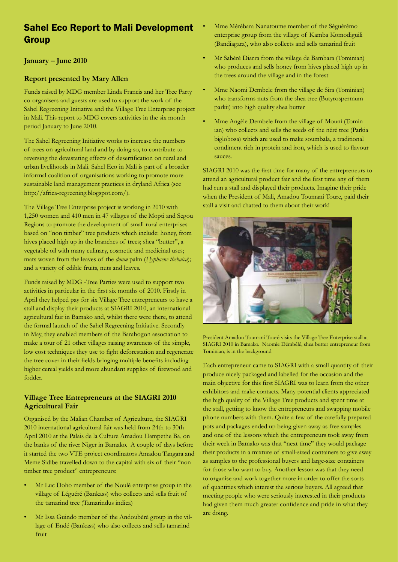## Sahel Eco Report to Mali Development Group

### **January – June 2010**

#### **Report presented by Mary Allen**

Funds raised by MDG member Linda Francis and her Tree Party co-organisers and guests are used to support the work of the Sahel Regreening Initiative and the Village Tree Enterprise project in Mali. This report to MDG covers activities in the six month period January to June 2010.

The Sahel Regreening Initiative works to increase the numbers of trees on agricultural land and by doing so, to contribute to reversing the devastating effects of desertification on rural and urban livelihoods in Mali. Sahel Eco in Mali is part of a broader informal coalition of organisations working to promote more sustainable land management practices in dryland Africa (see http://africa-regreening.blogspot.com/).

The Village Tree Enterprise project is working in 2010 with 1,250 women and 410 men in 47 villages of the Mopti and Segou Regions to promote the development of small rural enterprises based on "non timber" tree products which include: honey, from hives placed high up in the branches of trees; shea "butter", a vegetable oil with many culinary, cosmetic and medicinal uses; mats woven from the leaves of the *doum* palm (*Hyphaene thebaica*); and a variety of edible fruits, nuts and leaves.

Funds raised by MDG -Tree Parties were used to support two activities in particular in the first six months of 2010. Firstly in April they helped pay for six Village Tree entrepreneurs to have a stall and display their products at SIAGRI 2010, an international agricultural fair in Bamako and, whilst there were there, to attend the formal launch of the Sahel Regreening Initiative. Secondly in May, they enabled members of the Barahogon association to make a tour of 21 other villages raising awareness of the simple, low cost techniques they use to fight deforestation and regenerate the tree cover in their fields bringing multiple benefits including higher cereal yields and more abundant supplies of firewood and fodder.

#### **Village Tree Entrepreneurs at the SIAGRI 2010 Agricultural Fair**

Organised by the Malian Chamber of Agriculture, the SIAGRI 2010 international agricultural fair was held from 24th to 30th April 2010 at the Palais de la Culture Amadou Hampethe Ba, on the banks of the river Niger in Bamako. A couple of days before it started the two VTE project coordinators Amadou Tangara and Meme Sidibe travelled down to the capital with six of their "nontimber tree product" entrepreneurs:

- Mr Luc Doho member of the Noulé enterprise group in the village of Léguéré (Bankass) who collects and sells fruit of the tamarind tree (Tamarindus indica)
- Mr Issa Guindo member of the Andoubèrè group in the village of Endé (Bankass) who also collects and sells tamarind fruit
- Mme Mèrèbara Nanatoume member of the Séguérémo enterprise group from the village of Kamba Komodiguili (Bandiagara), who also collects and sells tamarind fruit
- Mr Sabéré Diarra from the village de Bambara (Tominian) who produces and sells honey from hives placed high up in the trees around the village and in the forest
- Mme Naomi Dembele from the village de Sira (Tominian) who transforms nuts from the shea tree (Butyrospermum parkii) into high quality shea butter
- Mme Angèle Dembele from the village of Mouni (Tominian) who collects and sells the seeds of the néré tree (Parkia biglobosa) which are used to make soumbala, a traditional condiment rich in protein and iron, which is used to flavour sauces.

SIAGRI 2010 was the first time for many of the entrepreneurs to attend an agricultural product fair and the first time any of them had run a stall and displayed their products. Imagine their pride when the President of Mali, Amadou Toumani Toure, paid their stall a visit and chatted to them about their work!



President Amadou Toumani Touré visits the Village Tree Enterprise stall at SIAGRI 2010 in Bamako. Naomie Démbélé, shea butter entrepreneur from Tominian, is in the background

Each entrepreneur came to SIAGRI with a small quantity of their produce nicely packaged and labelled for the occasion and the main objective for this first SIAGRI was to learn from the other exhibitors and make contacts. Many potential clients appreciated the high quality of the Village Tree products and spent time at the stall, getting to know the entrepreneurs and swapping mobile phone numbers with them. Quite a few of the carefully prepared pots and packages ended up being given away as free samples and one of the lessons which the entrepreneurs took away from their week in Bamako was that "next time" they would package their products in a mixture of small-sized containers to give away as samples to the professional buyers and large-size containers for those who want to buy. Another lesson was that they need to organise and work together more in order to offer the sorts of quantities which interest the serious buyers. All agreed that meeting people who were seriously interested in their products had given them much greater confidence and pride in what they are doing.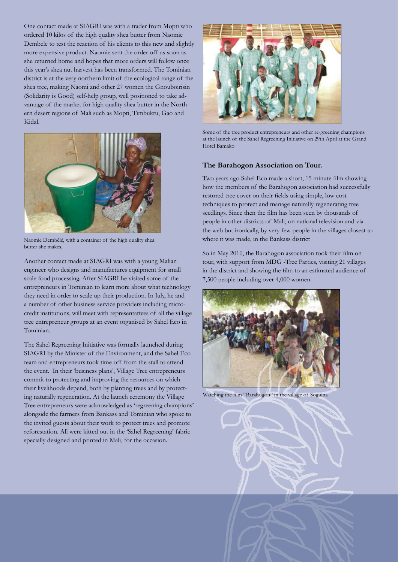One contact made at SIAGRI was with a trader from Mopti who ordered 10 kilos of the high quality shea butter from Naomie Dembele to test the reaction of his clients to this new and slightly more expensive product. Naomie sent the order off as soon as she returned home and hopes that more orders will follow once this year's shea nut harvest has been transformed. The Tominian district is at the very northern limit of the ecological range of the shea tree, making Naomi and other 27 women the Gnouboirisin (Solidarity is Good) self-help group, well positioned to take advantage of the market for high quality shea butter in the Northern desert regions of Mali such as Mopti, Timbuktu, Gao and Kidal.



Naomie Dembélé, with a container of the high quality shea butter she makes.

Another contact made at SIAGRI was with a young Malian engineer who designs and manufactures equipment for small scale food processing. After SIAGRI he visited some of the entrepreneurs in Tominian to learn more about what technology they need in order to scale up their production. In July, he and a number of other business service providers including microcredit institutions, will meet with representatives of all the village tree entrepreneur groups at an event organised by Sahel Eco in Tominian.

The Sahel Regreening Initiative was formally launched during SIAGRI by the Minister of the Environment, and the Sahel Eco team and entrepreneurs took time off from the stall to attend the event. In their 'business plans', Village Tree entrepreneurs commit to protecting and improving the resources on which their livelihoods depend, both by planting trees and by protecting naturally regeneration. At the launch ceremony the Village Tree entrepreneurs were acknowledged as 'regreening champions' alongside the farmers from Bankass and Tominian who spoke to the invited guests about their work to protect trees and promote reforestation. All were kitted out in the 'Sahel Regreening' fabric specially designed and printed in Mali, for the occasion.



Some of the tree product entrepreneurs and other re-greening champions at the launch of the Sahel Regreening Initiative on 29th April at the Grand Hotel Bamako

#### **The Barahogon Association on Tour.**

Two years ago Sahel Eco made a short, 15 minute film showing how the members of the Barahogon association had successfully restored tree cover on their fields using simple, low cost techniques to protect and manage naturally regenerating tree seedlings. Since then the film has been seen by thousands of people in other districts of Mali, on national television and via the web but ironically, by very few people in the villages closest to where it was made, in the Bankass district

So in May 2010, the Barahogon association took their film on tour, with support from MDG -Tree Parties, visiting 21 villages in the district and showing the film to an estimated audience of 7,500 people including over 4,000 women.



Watching the film "Barahogon" in the village of Soguina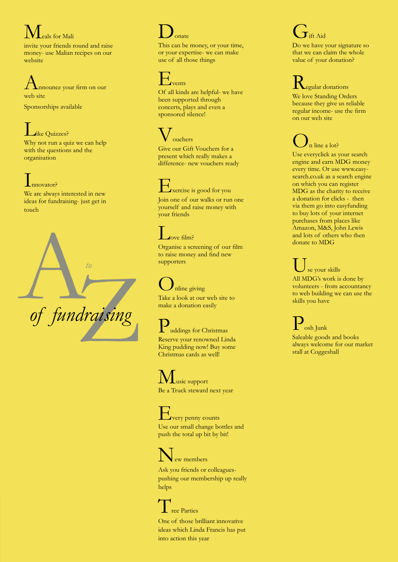Meals for Mali invite your friends round and raise money- use Malian recipes on our website

Announce your firm on our web site

Sponsorships available

### like Quizzes?

Why not run a quiz we can help with the questions and the organisation

# Innovator? We are always interested in new

ideas for fundraising- just get in touch



# $\mathbf{D}_{\text{onate}}$

This can be money, or your time, or your expertise- we can make use of all those things

# vents

Of all kinds are helpful- we have been supported through concerts, plays and even a sponsored silence!

## ouchers

Give our Gift Vouchers for a present which really makes a difference- new vouchers ready

Exercise is good for you Join one of our walks or run one yourself and raise money with your friends

# love film?

Organise a screening of our film to raise money and find new supporters

# nline giving

Take a look at our web site to make a donation easily

uddings for Christmas

Reserve your renowned Linda King pudding now! Buy some Christmas cards as well!

# $\mathbf L$ usic support

Be a Truck steward next year

**Every penny counts** Use our small change bottles and push the total up bit by bit!

# ew members

Ask you friends or colleaguespushing our membership up really helps

# Tree Parties

One of those brilliant innovative ideas which Linda Francis has put into action this year

# $\mathbf{T}$ ift Aid

Do we have your signature so that we can claim the whole value of your donation?

**Regular donations** We love Standing Orders because they give us reliable regular income- use the firm on our web site

# n line a lot?

Use everyclick as your search engine and earn MDG money every time. Or use www.easy search.co.uk as a search engine on which you can register MDG as the charity to receive a donation for clicks - then via them go into easyfunding to buy lots of your internet purchases from places like Amazon, M&S, John Lewis and lots of others who then donate to MDG

# se your skills

All MDG's work is done by volunteers - from accountancy to web building we can use the skills you have

 $\cosh$  Junk Saleable goods and books always welcome for our market

stall at Coggeshall